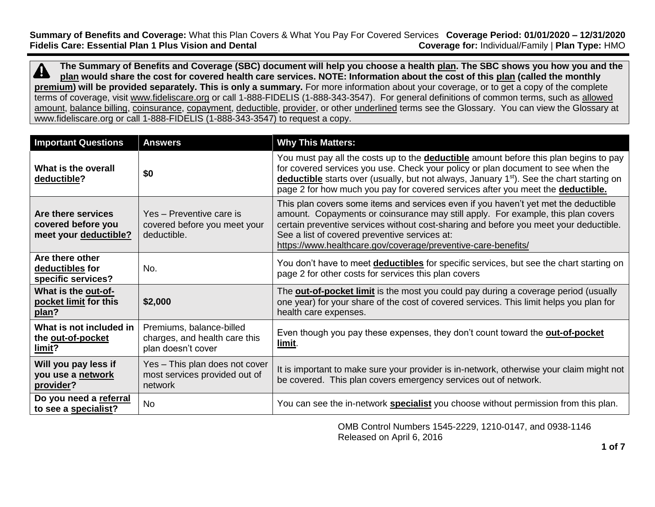**Summary of Benefits and Coverage:** What this Plan Covers & What You Pay For Covered Services **Coverage Period: 01/01/2020 – 12/31/2020 Fidelis Care: Essential Plan 1 Plus Vision and Dental** 

**The Summary of Benefits and Coverage (SBC) document will help you choose a health [plan.](https://www.healthcare.gov/sbc-glossary/#plan) The SBC shows you how you and the**   $\boldsymbol{\varDelta}$ **[plan](https://www.healthcare.gov/sbc-glossary/#plan) would share the cost for covered health care services. NOTE: Information about the cost of this [plan](https://www.healthcare.gov/sbc-glossary/#plan) (called the monthly [premium\)](https://www.healthcare.gov/sbc-glossary/#premium)** will be provided separately. This is only a summary. For more information about your coverage, or to get a copy of the complete terms of coverage, visit [www.fideliscare.org](http://www.fideliscare.org/) or call 1-888-FIDELIS (1-888-343-3547). For general definitions of common terms, such as [allowed](https://www.healthcare.gov/sbc-glossary/#allowed-amount)  [amount,](https://www.healthcare.gov/sbc-glossary/#allowed-amount) [balance billing,](https://www.healthcare.gov/sbc-glossary/#balance-billing) [coinsurance,](https://www.healthcare.gov/sbc-glossary/#coinsurance) [copayment,](https://www.healthcare.gov/sbc-glossary/#copayment) [deductible,](https://www.healthcare.gov/sbc-glossary/#deductible) [provider,](https://www.healthcare.gov/sbc-glossary/#provider) or other underlined terms see the Glossary. You can view the Glossary at www.fideliscare.org or call 1-888-FIDELIS (1-888-343-3547) to request a copy.

| <b>Important Questions</b>                                        | <b>Answers</b>                                                                  | <b>Why This Matters:</b>                                                                                                                                                                                                                                                                                                                                                           |
|-------------------------------------------------------------------|---------------------------------------------------------------------------------|------------------------------------------------------------------------------------------------------------------------------------------------------------------------------------------------------------------------------------------------------------------------------------------------------------------------------------------------------------------------------------|
| What is the overall<br>deductible?                                | \$0                                                                             | You must pay all the costs up to the <b>deductible</b> amount before this plan begins to pay<br>for covered services you use. Check your policy or plan document to see when the<br>deductible starts over (usually, but not always, January 1 <sup>st</sup> ). See the chart starting on<br>page 2 for how much you pay for covered services after you meet the deductible.       |
| Are there services<br>covered before you<br>meet your deductible? | Yes - Preventive care is<br>covered before you meet your<br>deductible.         | This plan covers some items and services even if you haven't yet met the deductible<br>amount. Copayments or coinsurance may still apply. For example, this plan covers<br>certain preventive services without cost-sharing and before you meet your deductible.<br>See a list of covered preventive services at:<br>https://www.healthcare.gov/coverage/preventive-care-benefits/ |
| Are there other<br>deductibles for<br>specific services?          | No.                                                                             | You don't have to meet <b>deductibles</b> for specific services, but see the chart starting on<br>page 2 for other costs for services this plan covers                                                                                                                                                                                                                             |
| What is the out-of-<br>pocket limit for this<br>plan?             | \$2,000                                                                         | The <b>out-of-pocket limit</b> is the most you could pay during a coverage period (usually<br>one year) for your share of the cost of covered services. This limit helps you plan for<br>health care expenses.                                                                                                                                                                     |
| What is not included in<br>the out-of-pocket<br>limit?            | Premiums, balance-billed<br>charges, and health care this<br>plan doesn't cover | Even though you pay these expenses, they don't count toward the out-of-pocket<br>limit.                                                                                                                                                                                                                                                                                            |
| Will you pay less if<br>you use a network<br>provider?            | Yes - This plan does not cover<br>most services provided out of<br>network      | It is important to make sure your provider is in-network, otherwise your claim might not<br>be covered. This plan covers emergency services out of network.                                                                                                                                                                                                                        |
| Do you need a referral<br>to see a specialist?                    | No                                                                              | You can see the in-network <b>specialist</b> you choose without permission from this plan.                                                                                                                                                                                                                                                                                         |

OMB Control Numbers 1545-2229, 1210-0147, and 0938-1146 Released on April 6, 2016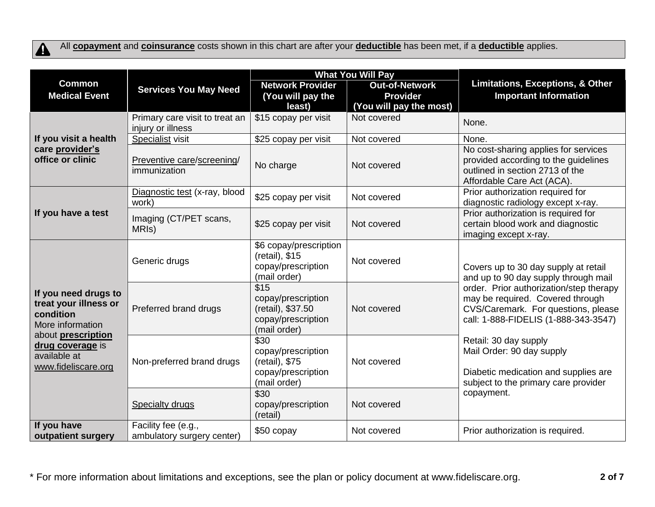$\blacktriangle$ 

All **[copayment](https://www.healthcare.gov/sbc-glossary/#copayment)** and **[coinsurance](https://www.healthcare.gov/sbc-glossary/#coinsurance)** costs shown in this chart are after your **[deductible](https://www.healthcare.gov/sbc-glossary/#deductible)** has been met, if a **[deductible](https://www.healthcare.gov/sbc-glossary/#deductible)** applies.

|                                                                                                                                                                 |                                                     | <b>What You Will Pay</b>                                                              |                                                                     |                                                                                                                                                                                                                                            |
|-----------------------------------------------------------------------------------------------------------------------------------------------------------------|-----------------------------------------------------|---------------------------------------------------------------------------------------|---------------------------------------------------------------------|--------------------------------------------------------------------------------------------------------------------------------------------------------------------------------------------------------------------------------------------|
| <b>Common</b><br><b>Medical Event</b>                                                                                                                           | <b>Services You May Need</b>                        | <b>Network Provider</b><br>(You will pay the<br>least)                                | <b>Out-of-Network</b><br><b>Provider</b><br>(You will pay the most) | Limitations, Exceptions, & Other<br><b>Important Information</b>                                                                                                                                                                           |
|                                                                                                                                                                 | Primary care visit to treat an<br>injury or illness | \$15 copay per visit                                                                  | Not covered                                                         | None.                                                                                                                                                                                                                                      |
| If you visit a health                                                                                                                                           | Specialist visit                                    | \$25 copay per visit                                                                  | Not covered                                                         | None.                                                                                                                                                                                                                                      |
| care provider's<br>office or clinic                                                                                                                             | Preventive care/screening/<br>immunization          | No charge                                                                             | Not covered                                                         | No cost-sharing applies for services<br>provided according to the guidelines<br>outlined in section 2713 of the<br>Affordable Care Act (ACA).                                                                                              |
|                                                                                                                                                                 | Diagnostic test (x-ray, blood<br>work)              | \$25 copay per visit                                                                  | Not covered                                                         | Prior authorization required for<br>diagnostic radiology except x-ray.                                                                                                                                                                     |
| If you have a test                                                                                                                                              | Imaging (CT/PET scans,<br>MRI <sub>s</sub> )        | \$25 copay per visit                                                                  | Not covered                                                         | Prior authorization is required for<br>certain blood work and diagnostic<br>imaging except x-ray.                                                                                                                                          |
| If you need drugs to<br>treat your illness or<br>condition<br>More information<br>about prescription<br>drug coverage is<br>available at<br>www.fideliscare.org | Generic drugs                                       | \$6 copay/prescription<br>(retail), \$15<br>copay/prescription<br>(mail order)        | Not covered                                                         | Covers up to 30 day supply at retail<br>and up to 90 day supply through mail<br>order. Prior authorization/step therapy<br>may be required. Covered through<br>CVS/Caremark. For questions, please<br>call: 1-888-FIDELIS (1-888-343-3547) |
|                                                                                                                                                                 | Preferred brand drugs                               | \$15<br>copay/prescription<br>(retail), \$37.50<br>copay/prescription<br>(mail order) | Not covered                                                         |                                                                                                                                                                                                                                            |
|                                                                                                                                                                 | Non-preferred brand drugs                           | \$30<br>copay/prescription<br>(retail), \$75<br>copay/prescription<br>(mail order)    | Not covered                                                         | Retail: 30 day supply<br>Mail Order: 90 day supply<br>Diabetic medication and supplies are<br>subject to the primary care provider                                                                                                         |
|                                                                                                                                                                 | <b>Specialty drugs</b>                              | \$30<br>copay/prescription<br>(retail)                                                | Not covered                                                         | copayment.                                                                                                                                                                                                                                 |
| If you have<br>outpatient surgery                                                                                                                               | Facility fee (e.g.,<br>ambulatory surgery center)   | \$50 copay                                                                            | Not covered                                                         | Prior authorization is required.                                                                                                                                                                                                           |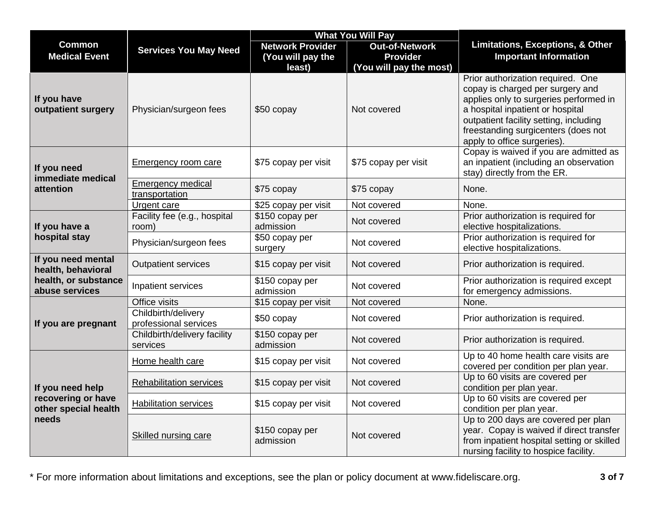|                                                                         |                                              | <b>What You Will Pay</b>      |                         |                                                                                                                                                                        |
|-------------------------------------------------------------------------|----------------------------------------------|-------------------------------|-------------------------|------------------------------------------------------------------------------------------------------------------------------------------------------------------------|
| <b>Common</b>                                                           | <b>Services You May Need</b>                 | <b>Network Provider</b>       | <b>Out-of-Network</b>   | Limitations, Exceptions, & Other                                                                                                                                       |
| <b>Medical Event</b>                                                    |                                              | (You will pay the             | <b>Provider</b>         | <b>Important Information</b>                                                                                                                                           |
|                                                                         |                                              | least)                        | (You will pay the most) |                                                                                                                                                                        |
| If you have<br>outpatient surgery                                       | Physician/surgeon fees                       | \$50 copay                    | Not covered             | Prior authorization required. One<br>copay is charged per surgery and<br>applies only to surgeries performed in<br>a hospital inpatient or hospital                    |
|                                                                         |                                              |                               |                         | outpatient facility setting, including<br>freestanding surgicenters (does not<br>apply to office surgeries).                                                           |
| If you need<br>immediate medical                                        | <b>Emergency room care</b>                   | \$75 copay per visit          | \$75 copay per visit    | Copay is waived if you are admitted as<br>an inpatient (including an observation<br>stay) directly from the ER.                                                        |
| attention                                                               | <b>Emergency medical</b><br>transportation   | \$75 copay                    | \$75 copay              | None.                                                                                                                                                                  |
|                                                                         | Urgent care                                  | \$25 copay per visit          | Not covered             | None.                                                                                                                                                                  |
| If you have a                                                           | Facility fee (e.g., hospital<br>room)        | \$150 copay per<br>admission  | Not covered             | Prior authorization is required for<br>elective hospitalizations.                                                                                                      |
| hospital stay                                                           | Physician/surgeon fees                       | \$50 copay per<br>surgery     | Not covered             | Prior authorization is required for<br>elective hospitalizations.                                                                                                      |
| If you need mental<br>health, behavioral                                | <b>Outpatient services</b>                   | \$15 copay per visit          | Not covered             | Prior authorization is required.                                                                                                                                       |
| health, or substance<br>abuse services                                  | Inpatient services                           | \$150 copay per<br>admission  | Not covered             | Prior authorization is required except<br>for emergency admissions.                                                                                                    |
|                                                                         | Office visits                                | \$15 copay per visit          | Not covered             | None.                                                                                                                                                                  |
| If you are pregnant                                                     | Childbirth/delivery<br>professional services | \$50 copay                    | Not covered             | Prior authorization is required.                                                                                                                                       |
|                                                                         | Childbirth/delivery facility<br>services     | $$150$ copay per<br>admission | Not covered             | Prior authorization is required.                                                                                                                                       |
|                                                                         | Home health care                             | \$15 copay per visit          | Not covered             | Up to 40 home health care visits are<br>covered per condition per plan year.                                                                                           |
| If you need help<br>recovering or have<br>other special health<br>needs | <b>Rehabilitation services</b>               | \$15 copay per visit          | Not covered             | Up to 60 visits are covered per<br>condition per plan year.                                                                                                            |
|                                                                         | <b>Habilitation services</b>                 | \$15 copay per visit          | Not covered             | Up to 60 visits are covered per<br>condition per plan year.                                                                                                            |
|                                                                         | <b>Skilled nursing care</b>                  | \$150 copay per<br>admission  | Not covered             | Up to 200 days are covered per plan<br>year. Copay is waived if direct transfer<br>from inpatient hospital setting or skilled<br>nursing facility to hospice facility. |

\* For more information about limitations and exceptions, see the plan or policy document at www.fideliscare.org. **3 of 7**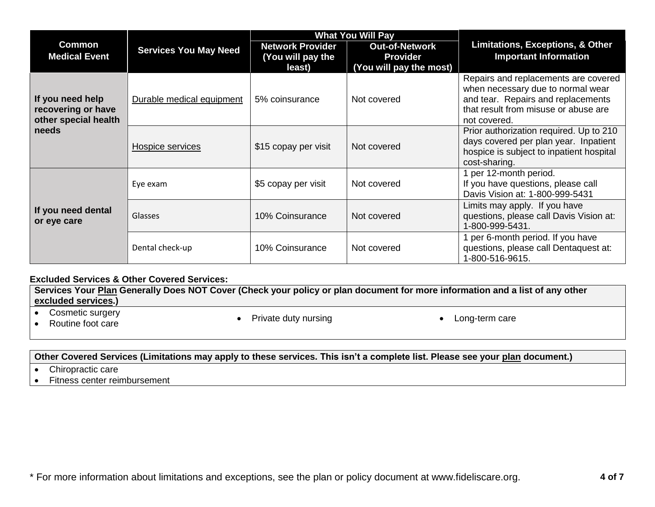|                                                                |                              | <b>What You Will Pay</b>                               |                                                                     |                                                                                                                                                                         |
|----------------------------------------------------------------|------------------------------|--------------------------------------------------------|---------------------------------------------------------------------|-------------------------------------------------------------------------------------------------------------------------------------------------------------------------|
| <b>Common</b><br><b>Medical Event</b>                          | <b>Services You May Need</b> | <b>Network Provider</b><br>(You will pay the<br>least) | <b>Out-of-Network</b><br><b>Provider</b><br>(You will pay the most) | <b>Limitations, Exceptions, &amp; Other</b><br><b>Important Information</b>                                                                                             |
| If you need help<br>recovering or have<br>other special health | Durable medical equipment    | 5% coinsurance                                         | Not covered                                                         | Repairs and replacements are covered<br>when necessary due to normal wear<br>and tear. Repairs and replacements<br>that result from misuse or abuse are<br>not covered. |
| needs                                                          | Hospice services             | \$15 copay per visit                                   | Not covered                                                         | Prior authorization required. Up to 210<br>days covered per plan year. Inpatient<br>hospice is subject to inpatient hospital<br>cost-sharing.                           |
|                                                                | Eye exam                     | \$5 copay per visit                                    | Not covered                                                         | 1 per 12-month period.<br>If you have questions, please call<br>Davis Vision at: 1-800-999-5431                                                                         |
| If you need dental<br>or eye care                              | Glasses                      | 10% Coinsurance                                        | Not covered                                                         | Limits may apply. If you have<br>questions, please call Davis Vision at:<br>1-800-999-5431.                                                                             |
|                                                                | Dental check-up              | 10% Coinsurance                                        | Not covered                                                         | I per 6-month period. If you have<br>questions, please call Dentaquest at:<br>1-800-516-9615.                                                                           |

## **Excluded Services & Other Covered Services:**

**Services Your [Plan](https://www.healthcare.gov/sbc-glossary/#plan) Generally Does NOT Cover (Check your policy or plan document for more information and a list of any other [excluded services.](https://www.healthcare.gov/sbc-glossary/#excluded-services))**

• Cosmetic surgery<br>• Routine foot care

- 
- Cosmetic surgery<br>• Routine foot care **Access 2008** Private duty nursing **Access 2008** Long-term care
	-

# **Other Covered Services (Limitations may apply to these services. This isn't a complete list. Please see your [plan](https://www.healthcare.gov/sbc-glossary/#plan) document.)**

- Chiropractic care
- Fitness center reimbursement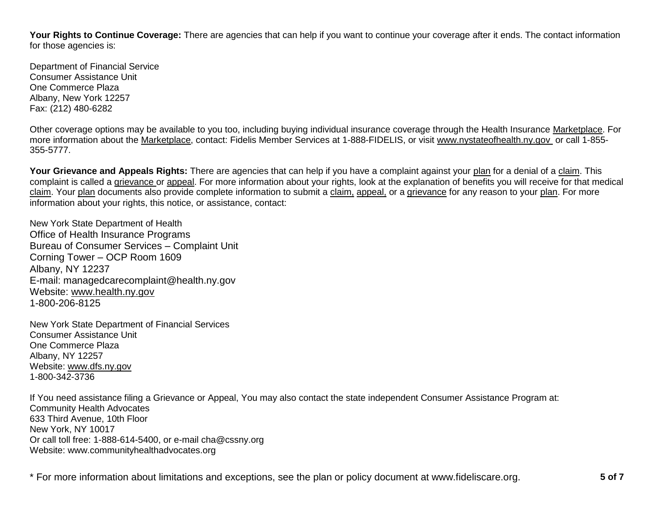**Your Rights to Continue Coverage:** There are agencies that can help if you want to continue your coverage after it ends. The contact information for those agencies is:

Department of Financial Service Consumer Assistance Unit One Commerce Plaza Albany, New York 12257 Fax: (212) 480-6282

Other coverage options may be available to you too, including buying individual insurance coverage through the Health Insurance [Marketplace.](https://www.healthcare.gov/sbc-glossary/#marketplace) For more information about the [Marketplace,](https://www.healthcare.gov/sbc-glossary/#marketplace) contact: Fidelis Member Services at 1-888-FIDELIS, or visit www.nystateofhealth.ny.gov or call 1-855- 355-5777.

**Your Grievance and Appeals Rights:** There are agencies that can help if you have a complaint against your [plan](https://www.healthcare.gov/sbc-glossary/#plan) for a denial of a [claim.](https://www.healthcare.gov/sbc-glossary/#claim) This complaint is called a [grievance](https://www.healthcare.gov/sbc-glossary/#grievance) or [appeal.](https://www.healthcare.gov/sbc-glossary/#appeal) For more information about your rights, look at the explanation of benefits you will receive for that medical [claim.](https://www.healthcare.gov/sbc-glossary/#claim) Your [plan](https://www.healthcare.gov/sbc-glossary/#plan) documents also provide complete information to submit a [claim,](https://www.healthcare.gov/sbc-glossary/#claim) [appeal,](https://www.healthcare.gov/sbc-glossary/#appeal) or a [grievance](https://www.healthcare.gov/sbc-glossary/#grievance) for any reason to your [plan.](https://www.healthcare.gov/sbc-glossary/#plan) For more information about your rights, this notice, or assistance, contact:

New York State Department of Health Office of Health Insurance Programs Bureau of Consumer Services – Complaint Unit Corning Tower – OCP Room 1609 Albany, NY 12237 E-mail: managedcarecomplaint@health.ny.gov Website: [www.health.ny.gov](http://www.health.ny.gov/) 1-800-206-8125

New York State Department of Financial Services Consumer Assistance Unit One Commerce Plaza Albany, NY 12257 Website: [www.dfs.ny.gov](http://www.dfs.ny.gov/) 1-800-342-3736

If You need assistance filing a Grievance or Appeal, You may also contact the state independent Consumer Assistance Program at: Community Health Advocates 633 Third Avenue, 10th Floor New York, NY 10017 Or call toll free: 1-888-614-5400, or e-mail cha@cssny.org Website: www.communityhealthadvocates.org

\* For more information about limitations and exceptions, see the plan or policy document at www.fideliscare.org. **5 of 7**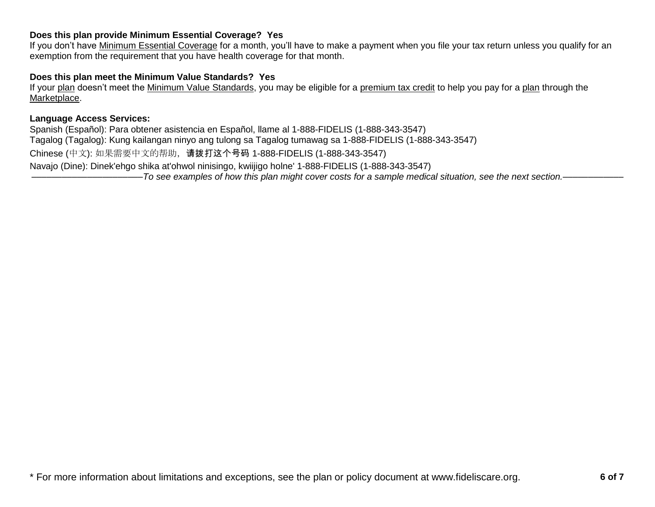## **Does this plan provide Minimum Essential Coverage? Yes**

If you don't have [Minimum Essential Coverage](https://www.healthcare.gov/sbc-glossary/#minimum-essential-coverage) for a month, you'll have to make a payment when you file your tax return unless you qualify for an exemption from the requirement that you have health coverage for that month.

### **Does this plan meet the Minimum Value Standards? Yes**

If your [plan](https://www.healthcare.gov/sbc-glossary/#plan) doesn't meet the [Minimum Value Standards,](https://www.healthcare.gov/sbc-glossary/#minimum-value-standard) you may be eligible for a [premium tax credit](https://www.healthcare.gov/sbc-glossary/#premium-tax-credits) to help you pay for a [plan](https://www.healthcare.gov/sbc-glossary/#plan) through the [Marketplace.](https://www.healthcare.gov/sbc-glossary/#marketplace)

### **Language Access Services:**

Spanish (Español): Para obtener asistencia en Español, llame al 1-888-FIDELIS (1-888-343-3547) Tagalog (Tagalog): Kung kailangan ninyo ang tulong sa Tagalog tumawag sa 1-888-FIDELIS (1-888-343-3547) Chinese (中文): 如果需要中文的帮助,请拨打这个号码 1-888-FIDELIS (1-888-343-3547) Navajo (Dine): Dinek'ehgo shika at'ohwol ninisingo, kwiijigo holne' 1-888-FIDELIS (1-888-343-3547) ––––––––––––––––––––––*To see examples of how this plan might cover costs for a sample medical situation, see the next section.–––––––––––*–